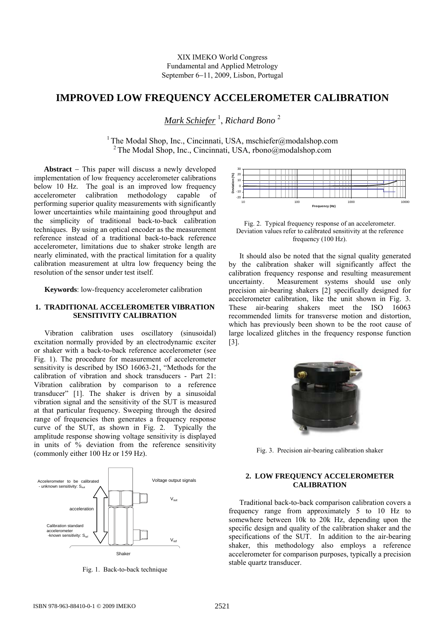# **IMPROVED LOW FREQUENCY ACCELEROMETER CALIBRATION**

*Mark Schiefer* <sup>1</sup> , *Richard Bono* <sup>2</sup>

<sup>1</sup> The Modal Shop, Inc., Cincinnati, USA, mschiefer@modalshop.com  $2$  The Modal Shop, Inc., Cincinnati, USA, rbono@modalshop.com

**Abstract** − This paper will discuss a newly developed implementation of low frequency accelerometer calibrations below 10 Hz. The goal is an improved low frequency accelerometer calibration methodology capable of performing superior quality measurements with significantly lower uncertainties while maintaining good throughput and the simplicity of traditional back-to-back calibration techniques. By using an optical encoder as the measurement reference instead of a traditional back-to-back reference accelerometer, limitations due to shaker stroke length are nearly eliminated, with the practical limitation for a quality calibration measurement at ultra low frequency being the resolution of the sensor under test itself.

**Keywords**: low-frequency accelerometer calibration

## **1. TRADITIONAL ACCELEROMETER VIBRATION SENSITIVITY CALIBRATION**

Vibration calibration uses oscillatory (sinusoidal) excitation normally provided by an electrodynamic exciter or shaker with a back-to-back reference accelerometer (see Fig. 1). The procedure for measurement of accelerometer sensitivity is described by ISO 16063-21, "Methods for the calibration of vibration and shock transducers - Part 21: Vibration calibration by comparison to a reference transducer" [1]. The shaker is driven by a sinusoidal vibration signal and the sensitivity of the SUT is measured at that particular frequency. Sweeping through the desired range of frequencies then generates a frequency response curve of the SUT, as shown in Fig. 2. Typically the amplitude response showing voltage sensitivity is displayed in units of % deviation from the reference sensitivity (commonly either 100 Hz or 159 Hz).



Fig. 1. Back-to-back technique



Fig. 2. Typical frequency response of an accelerometer. Deviation values refer to calibrated sensitivity at the reference frequency (100 Hz).

It should also be noted that the signal quality generated by the calibration shaker will significantly affect the calibration frequency response and resulting measurement uncertainty. Measurement systems should use only precision air-bearing shakers [2] specifically designed for accelerometer calibration, like the unit shown in Fig. 3. These air-bearing shakers meet the ISO 16063 recommended limits for transverse motion and distortion, which has previously been shown to be the root cause of large localized glitches in the frequency response function [3].



Fig. 3. Precision air-bearing calibration shaker

### **2. LOW FREQUENCY ACCELEROMETER CALIBRATION**

Traditional back-to-back comparison calibration covers a frequency range from approximately 5 to 10 Hz to somewhere between 10k to 20k Hz, depending upon the specific design and quality of the calibration shaker and the specifications of the SUT. In addition to the air-bearing shaker, this methodology also employs a reference accelerometer for comparison purposes, typically a precision stable quartz transducer.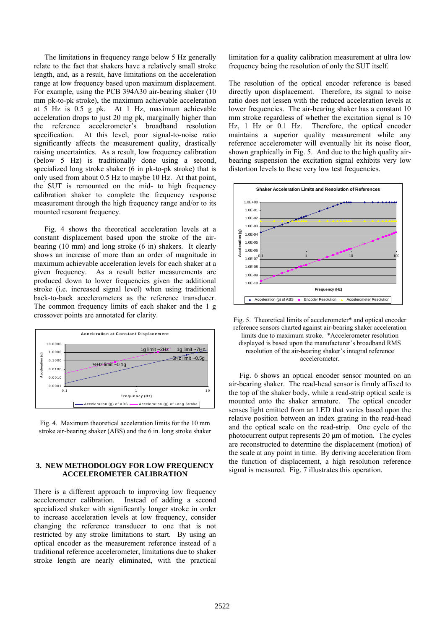The limitations in frequency range below 5 Hz generally relate to the fact that shakers have a relatively small stroke length, and, as a result, have limitations on the acceleration range at low frequency based upon maximum displacement. For example, using the PCB 394A30 air-bearing shaker (10 mm pk-to-pk stroke), the maximum achievable acceleration at 5 Hz is 0.5 g pk. At 1 Hz, maximum achievable acceleration drops to just 20 mg pk, marginally higher than the reference accelerometer's broadband resolution specification. At this level, poor signal-to-noise ratio significantly affects the measurement quality, drastically raising uncertainties. As a result, low frequency calibration (below 5 Hz) is traditionally done using a second, specialized long stroke shaker (6 in pk-to-pk stroke) that is only used from about 0.5 Hz to maybe 10 Hz. At that point, the SUT is remounted on the mid- to high frequency calibration shaker to complete the frequency response measurement through the high frequency range and/or to its mounted resonant frequency.

Fig. 4 shows the theoretical acceleration levels at a constant displacement based upon the stroke of the airbearing (10 mm) and long stroke (6 in) shakers. It clearly shows an increase of more than an order of magnitude in maximum achievable acceleration levels for each shaker at a given frequency. As a result better measurements are produced down to lower frequencies given the additional stroke (i.e. increased signal level) when using traditional back-to-back accelerometers as the reference transducer. The common frequency limits of each shaker and the 1 g crossover points are annotated for clarity.



Fig. 4. Maximum theoretical acceleration limits for the 10 mm stroke air-bearing shaker (ABS) and the 6 in. long stroke shaker

## **3. NEW METHODOLOGY FOR LOW FREQUENCY ACCELEROMETER CALIBRATION**

There is a different approach to improving low frequency accelerometer calibration. Instead of adding a second specialized shaker with significantly longer stroke in order to increase acceleration levels at low frequency, consider changing the reference transducer to one that is not restricted by any stroke limitations to start. By using an optical encoder as the measurement reference instead of a traditional reference accelerometer, limitations due to shaker stroke length are nearly eliminated, with the practical

limitation for a quality calibration measurement at ultra low frequency being the resolution of only the SUT itself.

The resolution of the optical encoder reference is based directly upon displacement. Therefore, its signal to noise ratio does not lessen with the reduced acceleration levels at lower frequencies. The air-bearing shaker has a constant 10 mm stroke regardless of whether the excitation signal is 10 Hz, 1 Hz or 0.1 Hz. Therefore, the optical encoder maintains a superior quality measurement while any reference accelerometer will eventually hit its noise floor, shown graphically in Fig. 5. And due to the high quality airbearing suspension the excitation signal exhibits very low distortion levels to these very low test frequencies.



Fig. 5. Theoretical limits of accelerometer\* and optical encoder reference sensors charted against air-bearing shaker acceleration limits due to maximum stroke. \*Accelerometer resolution displayed is based upon the manufacturer's broadband RMS resolution of the air-bearing shaker's integral reference accelerometer.

Fig. 6 shows an optical encoder sensor mounted on an air-bearing shaker. The read-head sensor is firmly affixed to the top of the shaker body, while a read-strip optical scale is mounted onto the shaker armature. The optical encoder senses light emitted from an LED that varies based upon the relative position between an index grating in the read-head and the optical scale on the read-strip. One cycle of the photocurrent output represents 20 μm of motion. The cycles are reconstructed to determine the displacement (motion) of the scale at any point in time. By deriving acceleration from the function of displacement, a high resolution reference signal is measured. Fig. 7 illustrates this operation.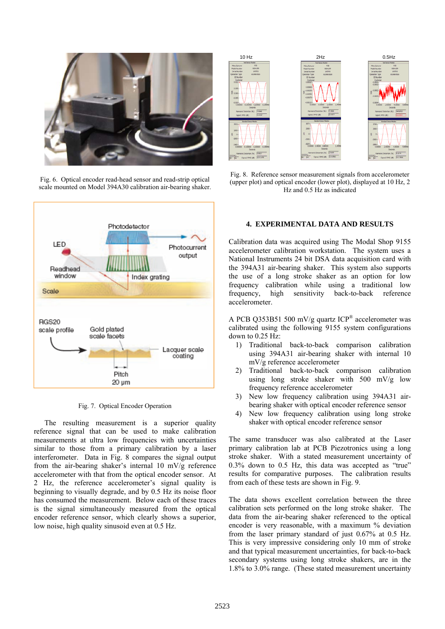

Fig. 6. Optical encoder read-head sensor and read-strip optical scale mounted on Model 394A30 calibration air-bearing shaker.



Fig. 7. Optical Encoder Operation

The resulting measurement is a superior quality reference signal that can be used to make calibration measurements at ultra low frequencies with uncertainties similar to those from a primary calibration by a laser interferometer. Data in Fig. 8 compares the signal output from the air-bearing shaker's internal 10 mV/g reference accelerometer with that from the optical encoder sensor. At 2 Hz, the reference accelerometer's signal quality is beginning to visually degrade, and by 0.5 Hz its noise floor has consumed the measurement. Below each of these traces is the signal simultaneously measured from the optical encoder reference sensor, which clearly shows a superior, low noise, high quality sinusoid even at 0.5 Hz.



Fig. 8. Reference sensor measurement signals from accelerometer (upper plot) and optical encoder (lower plot), displayed at 10 Hz, 2 Hz and 0.5 Hz as indicated

#### **4. EXPERIMENTAL DATA AND RESULTS**

Calibration data was acquired using The Modal Shop 9155 accelerometer calibration workstation. The system uses a National Instruments 24 bit DSA data acquisition card with the 394A31 air-bearing shaker. This system also supports the use of a long stroke shaker as an option for low frequency calibration while using a traditional low frequency, high sensitivity back-to-back reference accelerometer.

A PCB Q353B51 500 mV/g quartz ICP® accelerometer was calibrated using the following 9155 system configurations down to 0.25 Hz:

- 1) Traditional back-to-back comparison calibration using 394A31 air-bearing shaker with internal 10 mV/g reference accelerometer
- 2) Traditional back-to-back comparison calibration using long stroke shaker with  $500 \, \text{mV/g}$  low frequency reference accelerometer
- 3) New low frequency calibration using 394A31 airbearing shaker with optical encoder reference sensor
- 4) New low frequency calibration using long stroke shaker with optical encoder reference sensor

The same transducer was also calibrated at the Laser primary calibration lab at PCB Piezotronics using a long stroke shaker. With a stated measurement uncertainty of 0.3% down to 0.5 Hz, this data was accepted as "true" results for comparative purposes. The calibration results from each of these tests are shown in Fig. 9.

The data shows excellent correlation between the three calibration sets performed on the long stroke shaker. The data from the air-bearing shaker referenced to the optical encoder is very reasonable, with a maximum % deviation from the laser primary standard of just 0.67% at 0.5 Hz. This is very impressive considering only 10 mm of stroke and that typical measurement uncertainties, for back-to-back secondary systems using long stroke shakers, are in the 1.8% to 3.0% range. (These stated measurement uncertainty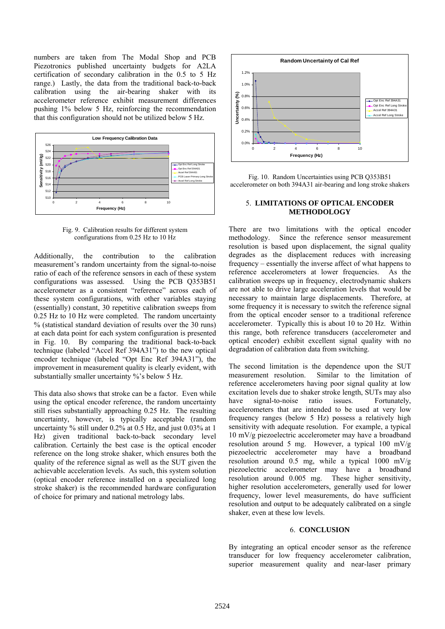numbers are taken from The Modal Shop and PCB Piezotronics published uncertainty budgets for A2LA certification of secondary calibration in the 0.5 to 5 Hz range.) Lastly, the data from the traditional back-to-back calibration using the air-bearing shaker with its accelerometer reference exhibit measurement differences pushing 1% below 5 Hz, reinforcing the recommendation that this configuration should not be utilized below 5 Hz.



Fig. 9. Calibration results for different system configurations from 0.25 Hz to 10 Hz

Additionally, the contribution to the calibration measurement's random uncertainty from the signal-to-noise ratio of each of the reference sensors in each of these system configurations was assessed. Using the PCB Q353B51 accelerometer as a consistent "reference" across each of these system configurations, with other variables staying (essentially) constant, 30 repetitive calibration sweeps from 0.25 Hz to 10 Hz were completed. The random uncertainty % (statistical standard deviation of results over the 30 runs) at each data point for each system configuration is presented in Fig. 10. By comparing the traditional back-to-back technique (labeled "Accel Ref 394A31") to the new optical encoder technique (labeled "Opt Enc Ref 394A31"), the improvement in measurement quality is clearly evident, with substantially smaller uncertainty %'s below 5 Hz.

This data also shows that stroke can be a factor. Even while using the optical encoder reference, the random uncertainty still rises substantially approaching 0.25 Hz. The resulting uncertainty, however, is typically acceptable (random uncertainty % still under 0.2% at 0.5 Hz, and just 0.03% at 1 Hz) given traditional back-to-back secondary level calibration. Certainly the best case is the optical encoder reference on the long stroke shaker, which ensures both the quality of the reference signal as well as the SUT given the achievable acceleration levels. As such, this system solution (optical encoder reference installed on a specialized long stroke shaker) is the recommended hardware configuration of choice for primary and national metrology labs.



Fig. 10. Random Uncertainties using PCB Q353B51 accelerometer on both 394A31 air-bearing and long stroke shakers

### 5. **LIMITATIONS OF OPTICAL ENCODER METHODOLOGY**

There are two limitations with the optical encoder methodology. Since the reference sensor measurement resolution is based upon displacement, the signal quality degrades as the displacement reduces with increasing frequency – essentially the inverse affect of what happens to reference accelerometers at lower frequencies. As the calibration sweeps up in frequency, electrodynamic shakers are not able to drive large acceleration levels that would be necessary to maintain large displacements. Therefore, at some frequency it is necessary to switch the reference signal from the optical encoder sensor to a traditional reference accelerometer. Typically this is about 10 to 20 Hz. Within this range, both reference transducers (accelerometer and optical encoder) exhibit excellent signal quality with no degradation of calibration data from switching.

The second limitation is the dependence upon the SUT measurement resolution. Similar to the limitation of reference accelerometers having poor signal quality at low excitation levels due to shaker stroke length, SUTs may also have signal-to-noise ratio issues. Fortunately, accelerometers that are intended to be used at very low frequency ranges (below 5 Hz) possess a relatively high sensitivity with adequate resolution. For example, a typical 10 mV/g piezoelectric accelerometer may have a broadband resolution around 5 mg. However, a typical 100 mV/g piezoelectric accelerometer may have a broadband resolution around 0.5 mg, while a typical 1000 mV/g piezoelectric accelerometer may have a broadband resolution around 0.005 mg. These higher sensitivity, higher resolution accelerometers, generally used for lower frequency, lower level measurements, do have sufficient resolution and output to be adequately calibrated on a single shaker, even at these low levels.

## 6. **CONCLUSION**

By integrating an optical encoder sensor as the reference transducer for low frequency accelerometer calibration, superior measurement quality and near-laser primary